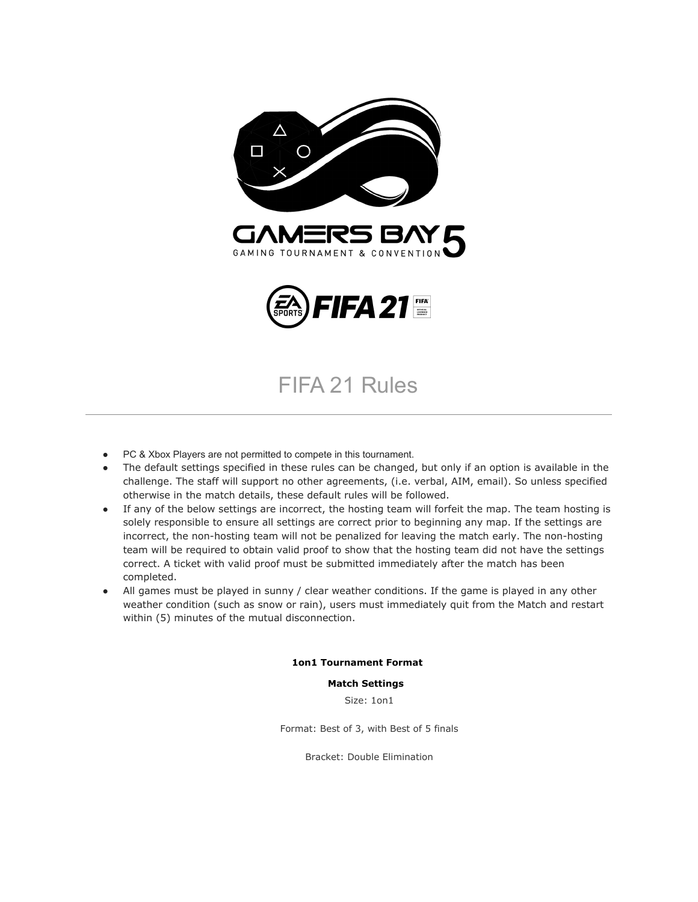

### FIFA 21 Rules

- PC & Xbox Players are not permitted to compete in this tournament.
- The default settings specified in these rules can be changed, but only if an option is available in the challenge. The staff will support no other agreements, (i.e. verbal, AIM, email). So unless specified otherwise in the match details, these default rules will be followed.
- If any of the below settings are incorrect, the hosting team will forfeit the map. The team hosting is solely responsible to ensure all settings are correct prior to beginning any map. If the settings are incorrect, the non-hosting team will not be penalized for leaving the match early. The non-hosting team will be required to obtain valid proof to show that the hosting team did not have the settings correct. A ticket with valid proof must be submitted immediately after the match has been completed.
- All games must be played in sunny / clear weather conditions. If the game is played in any other weather condition (such as snow or rain), users must immediately quit from the Match and restart within (5) minutes of the mutual disconnection.

#### **1on1 Tournament Format**

#### **Match Settings**

Size: 1on1

Format: Best of 3, with Best of 5 finals

Bracket: Double Elimination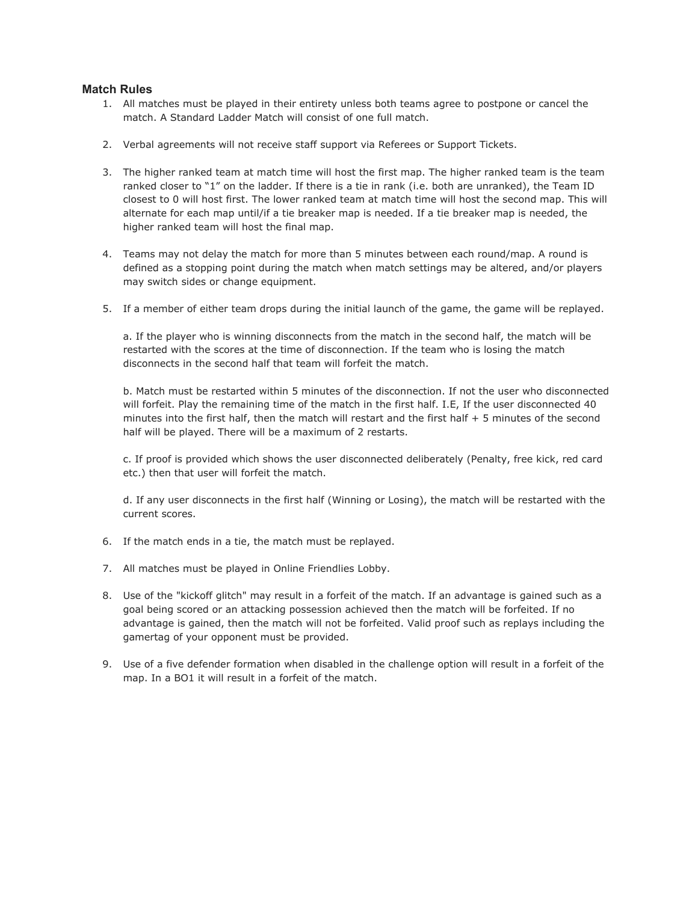#### **Match Rules**

- 1. All matches must be played in their entirety unless both teams agree to postpone or cancel the match. A Standard Ladder Match will consist of one full match.
- 2. Verbal agreements will not receive staff support via Referees or Support Tickets.
- 3. The higher ranked team at match time will host the first map. The higher ranked team is the team ranked closer to "1" on the ladder. If there is a tie in rank (i.e. both are unranked), the Team ID closest to 0 will host first. The lower ranked team at match time will host the second map. This will alternate for each map until/if a tie breaker map is needed. If a tie breaker map is needed, the higher ranked team will host the final map.
- 4. Teams may not delay the match for more than 5 minutes between each round/map. A round is defined as a stopping point during the match when match settings may be altered, and/or players may switch sides or change equipment.
- 5. If a member of either team drops during the initial launch of the game, the game will be replayed.

a. If the player who is winning disconnects from the match in the second half, the match will be restarted with the scores at the time of disconnection. If the team who is losing the match disconnects in the second half that team will forfeit the match.

b. Match must be restarted within 5 minutes of the disconnection. If not the user who disconnected will forfeit. Play the remaining time of the match in the first half. I.E, If the user disconnected 40 minutes into the first half, then the match will restart and the first half + 5 minutes of the second half will be played. There will be a maximum of 2 restarts.

c. If proof is provided which shows the user disconnected deliberately (Penalty, free kick, red card etc.) then that user will forfeit the match.

d. If any user disconnects in the first half (Winning or Losing), the match will be restarted with the current scores.

- 6. If the match ends in a tie, the match must be replayed.
- 7. All matches must be played in Online Friendlies Lobby.
- 8. Use of the "kickoff glitch" may result in a forfeit of the match. If an advantage is gained such as a goal being scored or an attacking possession achieved then the match will be forfeited. If no advantage is gained, then the match will not be forfeited. Valid proof such as replays including the gamertag of your opponent must be provided.
- 9. Use of a five defender formation when disabled in the challenge option will result in a forfeit of the map. In a BO1 it will result in a forfeit of the match.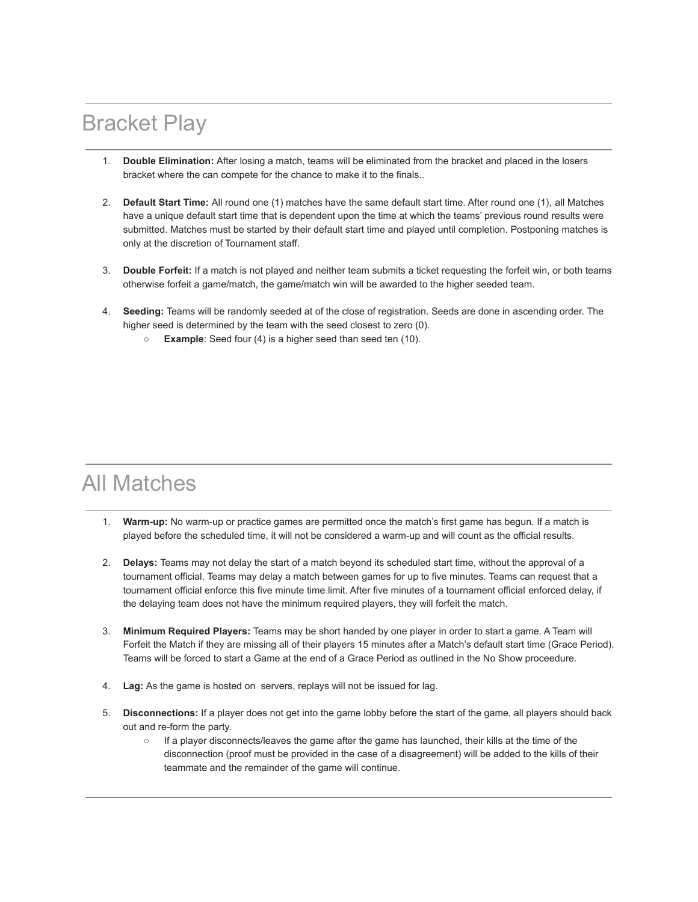## Bracket Play

- 1. **Double Elimination:** After losing a match, teams will be eliminated from the bracket and placed in the losers bracket where the can compete for the chance to make it to the finals..
- 2. **Default Start Time:** All round one (1) matches have the same default start time. After round one (1), all Matches have a unique default start time that is dependent upon the time at which the teams' previous round results were submitted. Matches must be started by their default start time and played until completion. Postponing matches is only at the discretion of Tournament staff.
- 3. **Double Forfeit:** If a match is not played and neither team submits a ticket requesting the forfeit win, or both teams otherwise forfeit a game/match, the game/match win will be awarded to the higher seeded team.
- 4. **Seeding:** Teams will be randomly seeded at of the close of registration. Seeds are done in ascending order. The higher seed is determined by the team with the seed closest to zero (0).
	- **Example**: Seed four (4) is a higher seed than seed ten (10).

### All Matches

- 1. **Warm-up:** No warm-up or practice games are permitted once the match's first game has begun. If a match is played before the scheduled time, it will not be considered a warm-up and will count as the official results.
- 2. **Delays:** Teams may not delay the start of a match beyond its scheduled start time, without the approval of a tournament official. Teams may delay a match between games for up to five minutes. Teams can request that a tournament official enforce this five minute time limit. After five minutes of a tournament official enforced delay, if the delaying team does not have the minimum required players, they will forfeit the match.
- 3. **Minimum Required Players:** Teams may be short handed by one player in order to start a game. A Team will Forfeit the Match if they are missing all of their players 15 minutes after a Match's default start time (Grace Period). Teams will be forced to start a Game at the end of a Grace Period as outlined in the No Show proceedure.
- 4. **Lag:** As the game is hosted on servers, replays will not be issued for lag.
- 5. **Disconnections:** If a player does not get into the game lobby before the start of the game, all players should back out and re-form the party.
	- If a player disconnects/leaves the game after the game has launched, their kills at the time of the disconnection (proof must be provided in the case of a disagreement) will be added to the kills of their teammate and the remainder of the game will continue.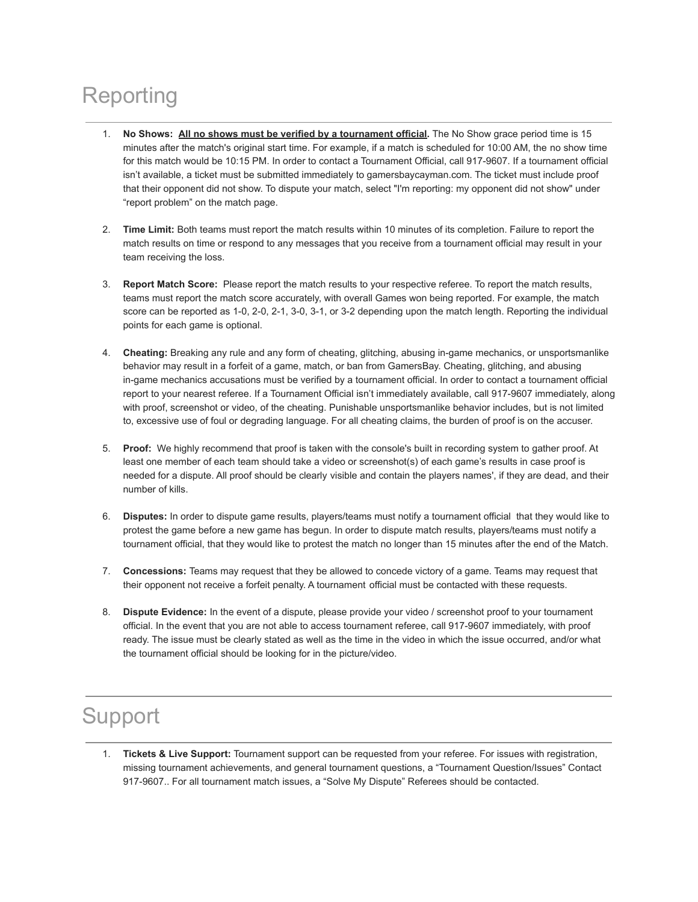# Reporting

- 1. **No Shows: All no shows must be verified by a tournament official.** The No Show grace period time is 15 minutes after the match's original start time. For example, if a match is scheduled for 10:00 AM, the no show time for this match would be 10:15 PM. In order to contact a Tournament Official, call 917-9607. If a tournament official isn't available, a ticket must be submitted immediately to gamersbaycayman.com. The ticket must include proof that their opponent did not show. To dispute your match, select "I'm reporting: my opponent did not show" under "report problem" on the match page.
- 2. **Time Limit:** Both teams must report the match results within 10 minutes of its completion. Failure to report the match results on time or respond to any messages that you receive from a tournament official may result in your team receiving the loss.
- 3. **Report Match Score:** Please report the match results to your respective referee. To report the match results, teams must report the match score accurately, with overall Games won being reported. For example, the match score can be reported as 1-0, 2-0, 2-1, 3-0, 3-1, or 3-2 depending upon the match length. Reporting the individual points for each game is optional.
- 4. **Cheating:** Breaking any rule and any form of cheating, glitching, abusing in-game mechanics, or unsportsmanlike behavior may result in a forfeit of a game, match, or ban from GamersBay. Cheating, glitching, and abusing in-game mechanics accusations must be verified by a tournament official. In order to contact a tournament official report to your nearest referee. If a Tournament Official isn't immediately available, call 917-9607 immediately, along with proof, screenshot or video, of the cheating. Punishable unsportsmanlike behavior includes, but is not limited to, excessive use of foul or degrading language. For all cheating claims, the burden of proof is on the accuser.
- 5. **Proof:** We highly recommend that proof is taken with the console's built in recording system to gather proof. At least one member of each team should take a video or screenshot(s) of each game's results in case proof is needed for a dispute. All proof should be clearly visible and contain the players names', if they are dead, and their number of kills.
- 6. **Disputes:** In order to dispute game results, players/teams must notify a tournament official that they would like to protest the game before a new game has begun. In order to dispute match results, players/teams must notify a tournament official, that they would like to protest the match no longer than 15 minutes after the end of the Match.
- 7. **Concessions:** Teams may request that they be allowed to concede victory of a game. Teams may request that their opponent not receive a forfeit penalty. A tournament official must be contacted with these requests.
- 8. **Dispute Evidence:** In the event of a dispute, please provide your video / screenshot proof to your tournament official. In the event that you are not able to access tournament referee, call 917-9607 immediately, with proof ready. The issue must be clearly stated as well as the time in the video in which the issue occurred, and/or what the tournament official should be looking for in the picture/video.

## Support

1. **Tickets & Live Support:** Tournament support can be requested from your referee. For issues with registration, missing tournament achievements, and general tournament questions, a "Tournament Question/Issues" Contact 917-9607.. For all tournament match issues, a "Solve My Dispute" Referees should be contacted.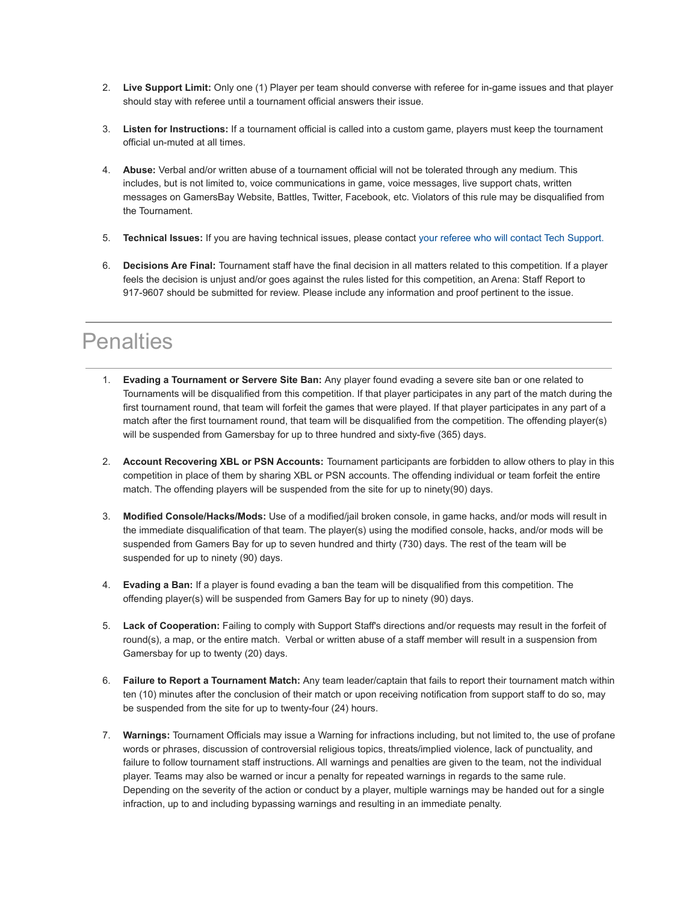- 2. **Live Support Limit:** Only one (1) Player per team should converse with referee for in-game issues and that player should stay with referee until a tournament official answers their issue.
- 3. **Listen for Instructions:** If a tournament official is called into a custom game, players must keep the tournament official un-muted at all times.
- 4. **Abuse:** Verbal and/or written abuse of a tournament official will not be tolerated through any medium. This includes, but is not limited to, voice communications in game, voice messages, live support chats, written messages on GamersBay Website, Battles, Twitter, Facebook, etc. Violators of this rule may be disqualified from the Tournament.
- 5. **Technical Issues:** If you are having technical issues, please contact your referee who will contact Tech Support.
- 6. **Decisions Are Final:** Tournament staff have the final decision in all matters related to this competition. If a player feels the decision is unjust and/or goes against the rules listed for this competition, an Arena: Staff Report to 917-9607 should be submitted for review. Please include any information and proof pertinent to the issue.

### **Penalties**

- 1. **Evading a Tournament or Servere Site Ban:** Any player found evading a severe site ban or one related to Tournaments will be disqualified from this competition. If that player participates in any part of the match during the first tournament round, that team will forfeit the games that were played. If that player participates in any part of a match after the first tournament round, that team will be disqualified from the competition. The offending player(s) will be suspended from Gamersbay for up to three hundred and sixty-five (365) days.
- 2. **Account Recovering XBL or PSN Accounts:** Tournament participants are forbidden to allow others to play in this competition in place of them by sharing XBL or PSN accounts. The offending individual or team forfeit the entire match. The offending players will be suspended from the site for up to ninety(90) days.
- 3. **Modified Console/Hacks/Mods:** Use of a modified/jail broken console, in game hacks, and/or mods will result in the immediate disqualification of that team. The player(s) using the modified console, hacks, and/or mods will be suspended from Gamers Bay for up to seven hundred and thirty (730) days. The rest of the team will be suspended for up to ninety (90) days.
- 4. **Evading a Ban:** If a player is found evading a ban the team will be disqualified from this competition. The offending player(s) will be suspended from Gamers Bay for up to ninety (90) days.
- 5. **Lack of Cooperation:** Failing to comply with Support Staff's directions and/or requests may result in the forfeit of round(s), a map, or the entire match. Verbal or written abuse of a staff member will result in a suspension from Gamersbay for up to twenty (20) days.
- 6. **Failure to Report a Tournament Match:** Any team leader/captain that fails to report their tournament match within ten (10) minutes after the conclusion of their match or upon receiving notification from support staff to do so, may be suspended from the site for up to twenty-four (24) hours.
- 7. **Warnings:** Tournament Officials may issue a Warning for infractions including, but not limited to, the use of profane words or phrases, discussion of controversial religious topics, threats/implied violence, lack of punctuality, and failure to follow tournament staff instructions. All warnings and penalties are given to the team, not the individual player. Teams may also be warned or incur a penalty for repeated warnings in regards to the same rule. Depending on the severity of the action or conduct by a player, multiple warnings may be handed out for a single infraction, up to and including bypassing warnings and resulting in an immediate penalty.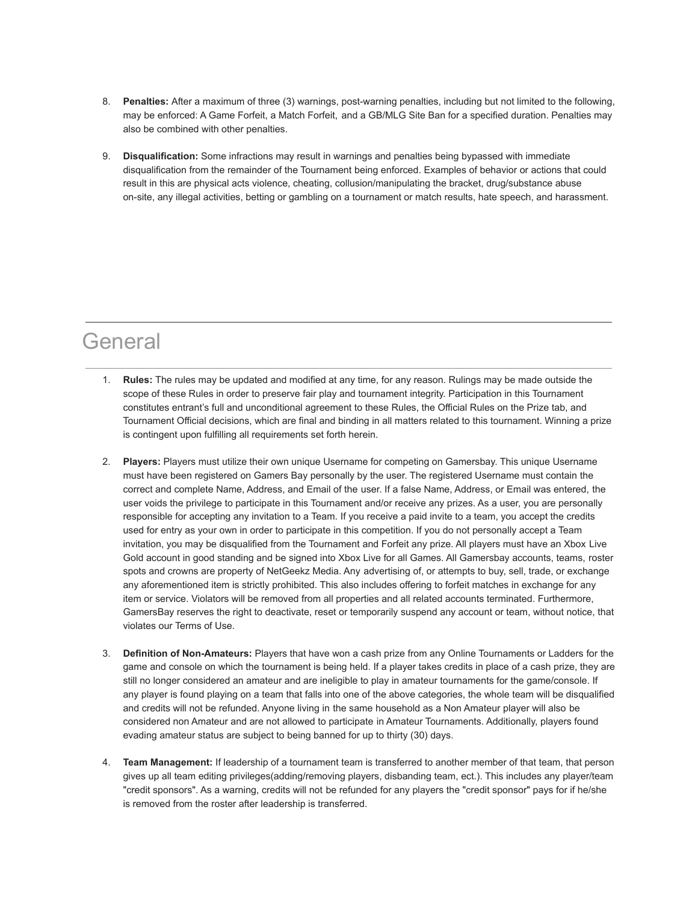- 8. **Penalties:** After a maximum of three (3) warnings, post-warning penalties, including but not limited to the following, may be enforced: A Game Forfeit, a Match Forfeit, and a GB/MLG Site Ban for a specified duration. Penalties may also be combined with other penalties.
- 9. **Disqualification:** Some infractions may result in warnings and penalties being bypassed with immediate disqualification from the remainder of the Tournament being enforced. Examples of behavior or actions that could result in this are physical acts violence, cheating, collusion/manipulating the bracket, drug/substance abuse on-site, any illegal activities, betting or gambling on a tournament or match results, hate speech, and harassment.

### **General**

- 1. **Rules:** The rules may be updated and modified at any time, for any reason. Rulings may be made outside the scope of these Rules in order to preserve fair play and tournament integrity. Participation in this Tournament constitutes entrant's full and unconditional agreement to these Rules, the Official Rules on the Prize tab, and Tournament Official decisions, which are final and binding in all matters related to this tournament. Winning a prize is contingent upon fulfilling all requirements set forth herein.
- 2. **Players:** Players must utilize their own unique Username for competing on Gamersbay. This unique Username must have been registered on Gamers Bay personally by the user. The registered Username must contain the correct and complete Name, Address, and Email of the user. If a false Name, Address, or Email was entered, the user voids the privilege to participate in this Tournament and/or receive any prizes. As a user, you are personally responsible for accepting any invitation to a Team. If you receive a paid invite to a team, you accept the credits used for entry as your own in order to participate in this competition. If you do not personally accept a Team invitation, you may be disqualified from the Tournament and Forfeit any prize. All players must have an Xbox Live Gold account in good standing and be signed into Xbox Live for all Games. All Gamersbay accounts, teams, roster spots and crowns are property of NetGeekz Media. Any advertising of, or attempts to buy, sell, trade, or exchange any aforementioned item is strictly prohibited. This also includes offering to forfeit matches in exchange for any item or service. Violators will be removed from all properties and all related accounts terminated. Furthermore, GamersBay reserves the right to deactivate, reset or temporarily suspend any account or team, without notice, that violates our Terms of Use.
- 3. **Definition of Non-Amateurs:** Players that have won a cash prize from any Online Tournaments or Ladders for the game and console on which the tournament is being held. If a player takes credits in place of a cash prize, they are still no longer considered an amateur and are ineligible to play in amateur tournaments for the game/console. If any player is found playing on a team that falls into one of the above categories, the whole team will be disqualified and credits will not be refunded. Anyone living in the same household as a Non Amateur player will also be considered non Amateur and are not allowed to participate in Amateur Tournaments. Additionally, players found evading amateur status are subject to being banned for up to thirty (30) days.
- 4. **Team Management:** If leadership of a tournament team is transferred to another member of that team, that person gives up all team editing privileges(adding/removing players, disbanding team, ect.). This includes any player/team "credit sponsors". As a warning, credits will not be refunded for any players the "credit sponsor" pays for if he/she is removed from the roster after leadership is transferred.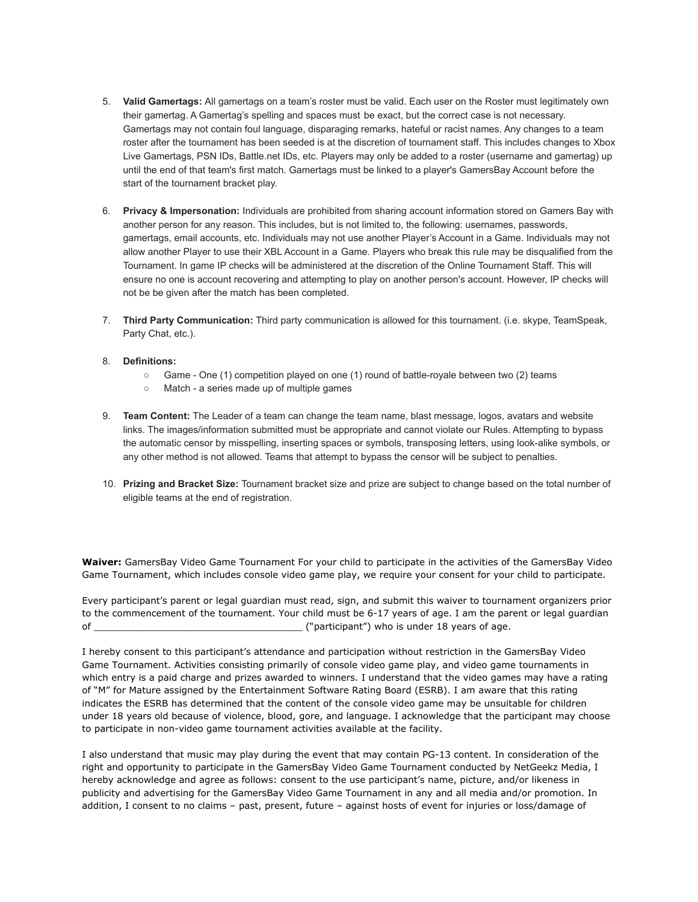- 5. **Valid Gamertags:** All gamertags on a team's roster must be valid. Each user on the Roster must legitimately own their gamertag. A Gamertag's spelling and spaces must be exact, but the correct case is not necessary. Gamertags may not contain foul language, disparaging remarks, hateful or racist names. Any changes to a team roster after the tournament has been seeded is at the discretion of tournament staff. This includes changes to Xbox Live Gamertags, PSN IDs, Battle.net IDs, etc. Players may only be added to a roster (username and gamertag) up until the end of that team's first match. Gamertags must be linked to a player's GamersBay Account before the start of the tournament bracket play.
- 6. **Privacy & Impersonation:** Individuals are prohibited from sharing account information stored on Gamers Bay with another person for any reason. This includes, but is not limited to, the following: usernames, passwords, gamertags, email accounts, etc. Individuals may not use another Player's Account in a Game. Individuals may not allow another Player to use their XBL Account in a Game. Players who break this rule may be disqualified from the Tournament. In game IP checks will be administered at the discretion of the Online Tournament Staff. This will ensure no one is account recovering and attempting to play on another person's account. However, IP checks will not be be given after the match has been completed.
- 7. **Third Party Communication:** Third party communication is allowed for this tournament. (i.e. skype, TeamSpeak, Party Chat, etc.).
- 8. **Definitions:**
	- Game One (1) competition played on one (1) round of battle-royale between two (2) teams
	- Match a series made up of multiple games
- 9. **Team Content:** The Leader of a team can change the team name, blast message, logos, avatars and website links. The images/information submitted must be appropriate and cannot violate our Rules. Attempting to bypass the automatic censor by misspelling, inserting spaces or symbols, transposing letters, using look-alike symbols, or any other method is not allowed. Teams that attempt to bypass the censor will be subject to penalties.
- 10. **Prizing and Bracket Size:** Tournament bracket size and prize are subject to change based on the total number of eligible teams at the end of registration.

**Waiver:** GamersBay Video Game Tournament For your child to participate in the activities of the GamersBay Video Game Tournament, which includes console video game play, we require your consent for your child to participate.

Every participant's parent or legal guardian must read, sign, and submit this waiver to tournament organizers prior to the commencement of the tournament. Your child must be 6-17 years of age. I am the parent or legal guardian of \_\_\_\_\_\_\_\_\_\_\_\_\_\_\_\_\_\_\_\_\_\_\_\_\_\_\_\_\_\_\_\_\_\_\_\_ ("participant") who is under 18 years of age.

I hereby consent to this participant's attendance and participation without restriction in the GamersBay Video Game Tournament. Activities consisting primarily of console video game play, and video game tournaments in which entry is a paid charge and prizes awarded to winners. I understand that the video games may have a rating of "M" for Mature assigned by the Entertainment Software Rating Board (ESRB). I am aware that this rating indicates the ESRB has determined that the content of the console video game may be unsuitable for children under 18 years old because of violence, blood, gore, and language. I acknowledge that the participant may choose to participate in non-video game tournament activities available at the facility.

I also understand that music may play during the event that may contain PG-13 content. In consideration of the right and opportunity to participate in the GamersBay Video Game Tournament conducted by NetGeekz Media, I hereby acknowledge and agree as follows: consent to the use participant's name, picture, and/or likeness in publicity and advertising for the GamersBay Video Game Tournament in any and all media and/or promotion. In addition, I consent to no claims – past, present, future – against hosts of event for injuries or loss/damage of